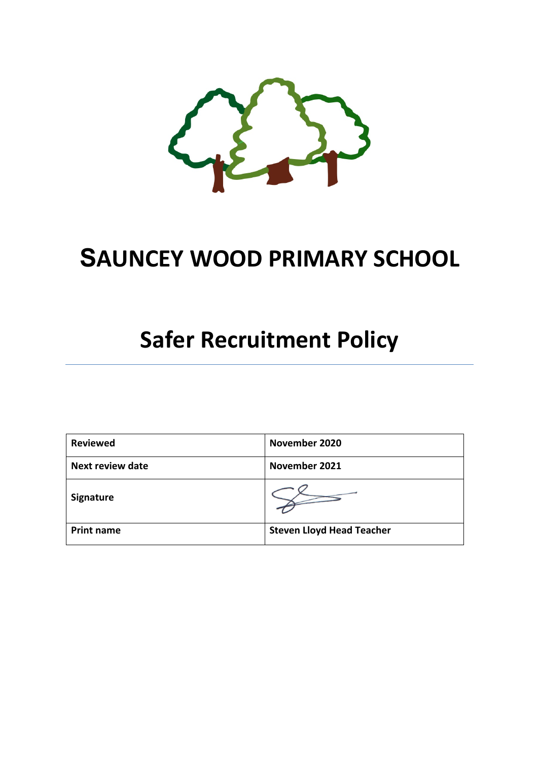

## **SAUNCEY WOOD PRIMARY SCHOOL**

# **Safer Recruitment Policy**

| <b>Reviewed</b>   | November 2020                    |  |  |
|-------------------|----------------------------------|--|--|
| Next review date  | November 2021                    |  |  |
| <b>Signature</b>  |                                  |  |  |
| <b>Print name</b> | <b>Steven Lloyd Head Teacher</b> |  |  |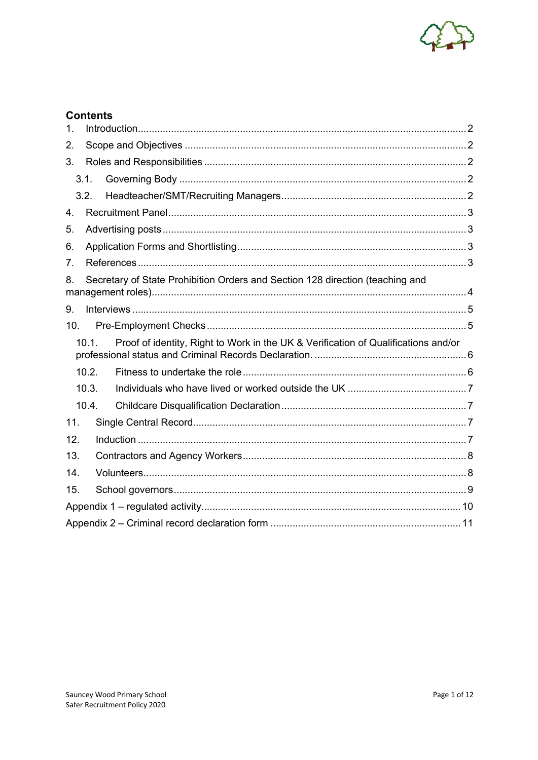

## **Contents**

| $\mathbf 1$ .   |       |                                                                                    |  |  |  |  |
|-----------------|-------|------------------------------------------------------------------------------------|--|--|--|--|
| 2.              |       |                                                                                    |  |  |  |  |
| 3.              |       |                                                                                    |  |  |  |  |
|                 | 3.1.  |                                                                                    |  |  |  |  |
|                 | 3.2.  |                                                                                    |  |  |  |  |
| 4.              |       |                                                                                    |  |  |  |  |
| 5.              |       |                                                                                    |  |  |  |  |
| 6.              |       |                                                                                    |  |  |  |  |
| 7 <sub>1</sub>  |       |                                                                                    |  |  |  |  |
| 8.              |       | Secretary of State Prohibition Orders and Section 128 direction (teaching and      |  |  |  |  |
| 9.              |       |                                                                                    |  |  |  |  |
| 10 <sub>1</sub> |       |                                                                                    |  |  |  |  |
|                 | 10.1. | Proof of identity, Right to Work in the UK & Verification of Qualifications and/or |  |  |  |  |
|                 | 10.2. |                                                                                    |  |  |  |  |
|                 | 10.3. |                                                                                    |  |  |  |  |
|                 | 10.4. |                                                                                    |  |  |  |  |
| 11.             |       |                                                                                    |  |  |  |  |
| 12.             |       |                                                                                    |  |  |  |  |
| 13.             |       |                                                                                    |  |  |  |  |
| 14.             |       |                                                                                    |  |  |  |  |
| 15.             |       |                                                                                    |  |  |  |  |
|                 |       |                                                                                    |  |  |  |  |
|                 |       |                                                                                    |  |  |  |  |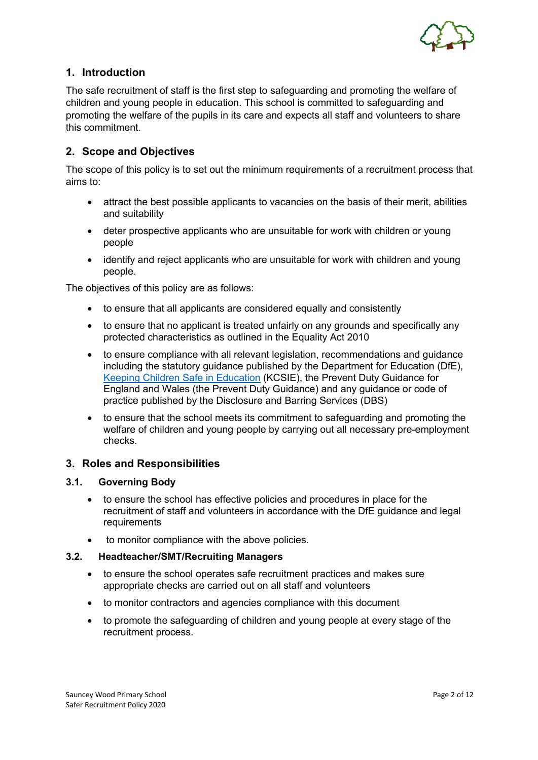

## **1. Introduction**

The safe recruitment of staff is the first step to safeguarding and promoting the welfare of children and young people in education. This school is committed to safeguarding and promoting the welfare of the pupils in its care and expects all staff and volunteers to share this commitment.

## **2. Scope and Objectives**

The scope of this policy is to set out the minimum requirements of a recruitment process that aims to:

- attract the best possible applicants to vacancies on the basis of their merit, abilities and suitability
- deter prospective applicants who are unsuitable for work with children or young people
- identify and reject applicants who are unsuitable for work with children and young people.

The objectives of this policy are as follows:

- to ensure that all applicants are considered equally and consistently
- to ensure that no applicant is treated unfairly on any grounds and specifically any protected characteristics as outlined in the Equality Act 2010
- to ensure compliance with all relevant legislation, recommendations and guidance including the statutory guidance published by the Department for Education (DfE), Keeping Children Safe in Education (KCSIE), the Prevent Duty Guidance for England and Wales (the Prevent Duty Guidance) and any guidance or code of practice published by the Disclosure and Barring Services (DBS)
- to ensure that the school meets its commitment to safeguarding and promoting the welfare of children and young people by carrying out all necessary pre-employment checks.

#### **3. Roles and Responsibilities**

#### **3.1. Governing Body**

- to ensure the school has effective policies and procedures in place for the recruitment of staff and volunteers in accordance with the DfE guidance and legal **requirements**
- to monitor compliance with the above policies.

#### **3.2. Headteacher/SMT/Recruiting Managers**

- to ensure the school operates safe recruitment practices and makes sure appropriate checks are carried out on all staff and volunteers
- to monitor contractors and agencies compliance with this document
- to promote the safeguarding of children and young people at every stage of the recruitment process.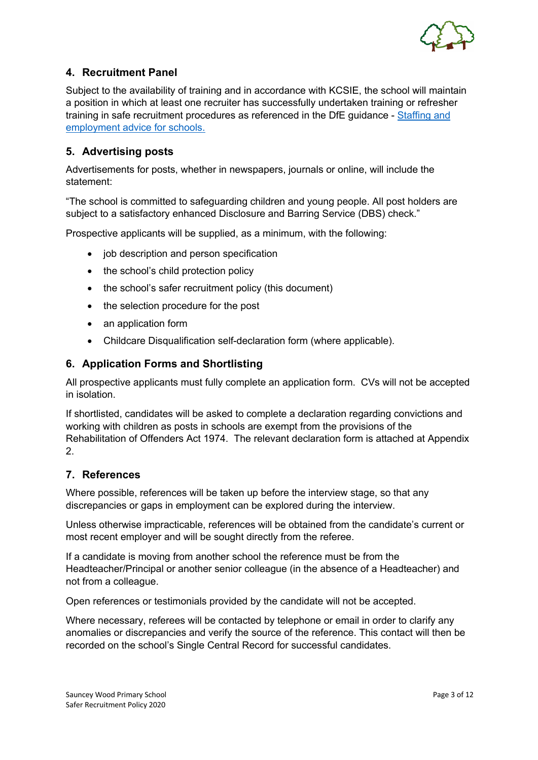

## **4. Recruitment Panel**

Subject to the availability of training and in accordance with KCSIE, the school will maintain a position in which at least one recruiter has successfully undertaken training or refresher training in safe recruitment procedures as referenced in the DfE guidance - Staffing and employment advice for schools.

## **5. Advertising posts**

Advertisements for posts, whether in newspapers, journals or online, will include the statement:

"The school is committed to safeguarding children and young people. All post holders are subject to a satisfactory enhanced Disclosure and Barring Service (DBS) check."

Prospective applicants will be supplied, as a minimum, with the following:

- job description and person specification
- the school's child protection policy
- the school's safer recruitment policy (this document)
- the selection procedure for the post
- an application form
- Childcare Disqualification self-declaration form (where applicable).

#### **6. Application Forms and Shortlisting**

All prospective applicants must fully complete an application form. CVs will not be accepted in isolation.

If shortlisted, candidates will be asked to complete a declaration regarding convictions and working with children as posts in schools are exempt from the provisions of the Rehabilitation of Offenders Act 1974. The relevant declaration form is attached at Appendix 2.

#### **7. References**

Where possible, references will be taken up before the interview stage, so that any discrepancies or gaps in employment can be explored during the interview.

Unless otherwise impracticable, references will be obtained from the candidate's current or most recent employer and will be sought directly from the referee.

If a candidate is moving from another school the reference must be from the Headteacher/Principal or another senior colleague (in the absence of a Headteacher) and not from a colleague.

Open references or testimonials provided by the candidate will not be accepted.

Where necessary, referees will be contacted by telephone or email in order to clarify any anomalies or discrepancies and verify the source of the reference. This contact will then be recorded on the school's Single Central Record for successful candidates.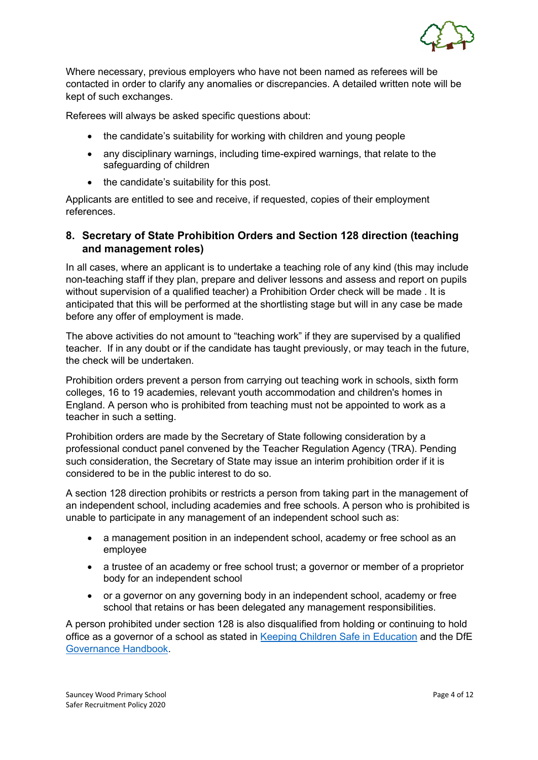

Where necessary, previous employers who have not been named as referees will be contacted in order to clarify any anomalies or discrepancies. A detailed written note will be kept of such exchanges.

Referees will always be asked specific questions about:

- the candidate's suitability for working with children and young people
- any disciplinary warnings, including time-expired warnings, that relate to the safeguarding of children
- the candidate's suitability for this post.

Applicants are entitled to see and receive, if requested, copies of their employment references.

## **8. Secretary of State Prohibition Orders and Section 128 direction (teaching and management roles)**

In all cases, where an applicant is to undertake a teaching role of any kind (this may include non-teaching staff if they plan, prepare and deliver lessons and assess and report on pupils without supervision of a qualified teacher) a Prohibition Order check will be made . It is anticipated that this will be performed at the shortlisting stage but will in any case be made before any offer of employment is made.

The above activities do not amount to "teaching work" if they are supervised by a qualified teacher. If in any doubt or if the candidate has taught previously, or may teach in the future, the check will be undertaken.

Prohibition orders prevent a person from carrying out teaching work in schools, sixth form colleges, 16 to 19 academies, relevant youth accommodation and children's homes in England. A person who is prohibited from teaching must not be appointed to work as a teacher in such a setting.

Prohibition orders are made by the Secretary of State following consideration by a professional conduct panel convened by the Teacher Regulation Agency (TRA). Pending such consideration, the Secretary of State may issue an interim prohibition order if it is considered to be in the public interest to do so.

A section 128 direction prohibits or restricts a person from taking part in the management of an independent school, including academies and free schools. A person who is prohibited is unable to participate in any management of an independent school such as:

- a management position in an independent school, academy or free school as an employee
- a trustee of an academy or free school trust; a governor or member of a proprietor body for an independent school
- or a governor on any governing body in an independent school, academy or free school that retains or has been delegated any management responsibilities.

A person prohibited under section 128 is also disqualified from holding or continuing to hold office as a governor of a school as stated in Keeping Children Safe in Education and the DfE Governance Handbook.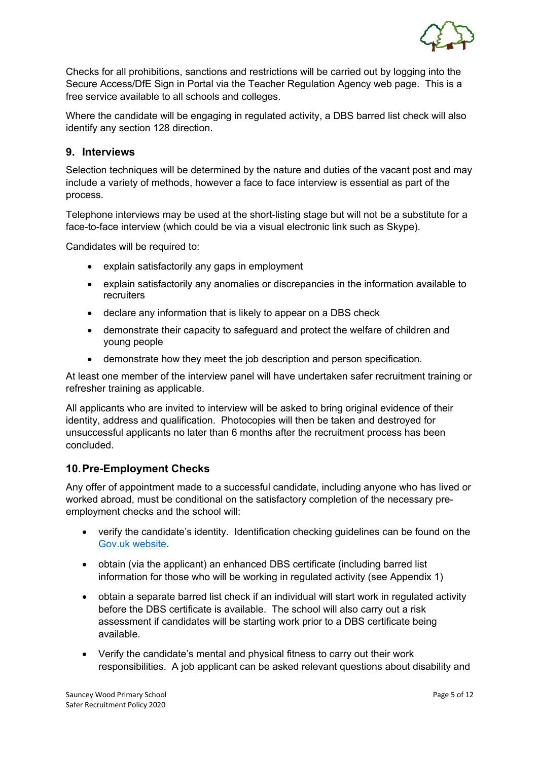

Checks for all prohibitions, sanctions and restrictions will be carried out by logging into the Secure Access/DfE Sign in Portal via the Teacher Regulation Agency web page. This is a free service available to all schools and colleges.

Where the candidate will be engaging in regulated activity, a DBS barred list check will also identify any section 128 direction.

#### **9. Interviews**

Selection techniques will be determined by the nature and duties of the vacant post and may include a variety of methods, however a face to face interview is essential as part of the process.

Telephone interviews may be used at the short-listing stage but will not be a substitute for a face-to-face interview (which could be via a visual electronic link such as Skype).

Candidates will be required to:

- explain satisfactorily any gaps in employment
- explain satisfactorily any anomalies or discrepancies in the information available to recruiters
- declare any information that is likely to appear on a DBS check
- demonstrate their capacity to safeguard and protect the welfare of children and young people
- demonstrate how they meet the job description and person specification.

At least one member of the interview panel will have undertaken safer recruitment training or refresher training as applicable.

All applicants who are invited to interview will be asked to bring original evidence of their identity, address and qualification. Photocopies will then be taken and destroyed for unsuccessful applicants no later than 6 months after the recruitment process has been concluded.

## **10.Pre-Employment Checks**

Any offer of appointment made to a successful candidate, including anyone who has lived or worked abroad, must be conditional on the satisfactory completion of the necessary preemployment checks and the school will:

- verify the candidate's identity. Identification checking guidelines can be found on the Gov.uk website.
- obtain (via the applicant) an enhanced DBS certificate (including barred list information for those who will be working in regulated activity (see Appendix 1)
- obtain a separate barred list check if an individual will start work in regulated activity before the DBS certificate is available. The school will also carry out a risk assessment if candidates will be starting work prior to a DBS certificate being available.
- Verify the candidate's mental and physical fitness to carry out their work responsibilities. A job applicant can be asked relevant questions about disability and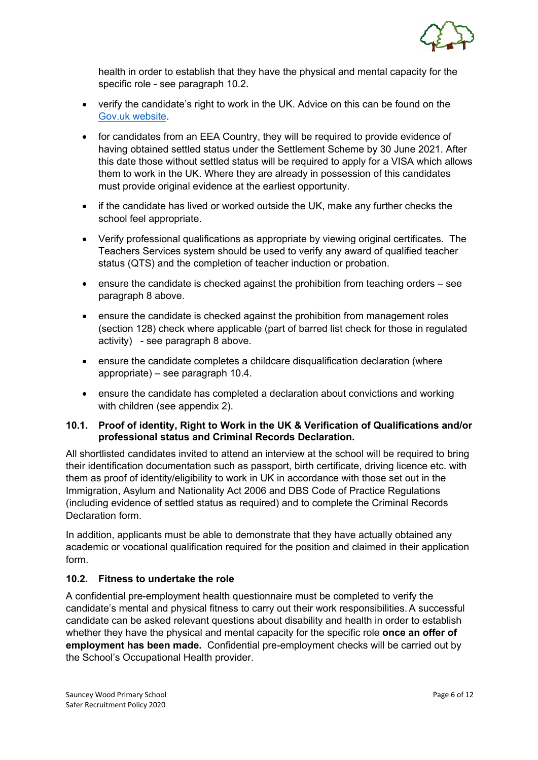

health in order to establish that they have the physical and mental capacity for the specific role - see paragraph 10.2.

- verify the candidate's right to work in the UK. Advice on this can be found on the Gov.uk website.
- for candidates from an EEA Country, they will be required to provide evidence of having obtained settled status under the Settlement Scheme by 30 June 2021. After this date those without settled status will be required to apply for a VISA which allows them to work in the UK. Where they are already in possession of this candidates must provide original evidence at the earliest opportunity.
- if the candidate has lived or worked outside the UK, make any further checks the school feel appropriate.
- Verify professional qualifications as appropriate by viewing original certificates. The Teachers Services system should be used to verify any award of qualified teacher status (QTS) and the completion of teacher induction or probation.
- ensure the candidate is checked against the prohibition from teaching orders see paragraph 8 above.
- ensure the candidate is checked against the prohibition from management roles (section 128) check where applicable (part of barred list check for those in regulated activity) - see paragraph 8 above.
- ensure the candidate completes a childcare disqualification declaration (where appropriate) – see paragraph 10.4.
- ensure the candidate has completed a declaration about convictions and working with children (see appendix 2).

#### **10.1. Proof of identity, Right to Work in the UK & Verification of Qualifications and/or professional status and Criminal Records Declaration.**

All shortlisted candidates invited to attend an interview at the school will be required to bring their identification documentation such as passport, birth certificate, driving licence etc. with them as proof of identity/eligibility to work in UK in accordance with those set out in the Immigration, Asylum and Nationality Act 2006 and DBS Code of Practice Regulations (including evidence of settled status as required) and to complete the Criminal Records Declaration form.

In addition, applicants must be able to demonstrate that they have actually obtained any academic or vocational qualification required for the position and claimed in their application form.

#### **10.2. Fitness to undertake the role**

A confidential pre-employment health questionnaire must be completed to verify the candidate's mental and physical fitness to carry out their work responsibilities.A successful candidate can be asked relevant questions about disability and health in order to establish whether they have the physical and mental capacity for the specific role **once an offer of employment has been made.** Confidential pre-employment checks will be carried out by the School's Occupational Health provider.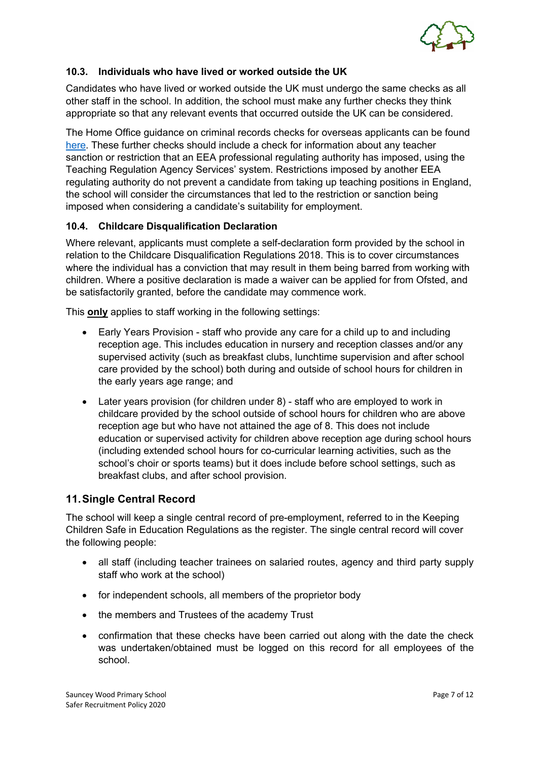

#### **10.3. Individuals who have lived or worked outside the UK**

Candidates who have lived or worked outside the UK must undergo the same checks as all other staff in the school. In addition, the school must make any further checks they think appropriate so that any relevant events that occurred outside the UK can be considered.

The Home Office guidance on criminal records checks for overseas applicants can be found here. These further checks should include a check for information about any teacher sanction or restriction that an EEA professional regulating authority has imposed, using the Teaching Regulation Agency Services' system. Restrictions imposed by another EEA regulating authority do not prevent a candidate from taking up teaching positions in England, the school will consider the circumstances that led to the restriction or sanction being imposed when considering a candidate's suitability for employment.

#### **10.4. Childcare Disqualification Declaration**

Where relevant, applicants must complete a self-declaration form provided by the school in relation to the Childcare Disqualification Regulations 2018. This is to cover circumstances where the individual has a conviction that may result in them being barred from working with children. Where a positive declaration is made a waiver can be applied for from Ofsted, and be satisfactorily granted, before the candidate may commence work.

This **only** applies to staff working in the following settings:

- Early Years Provision staff who provide any care for a child up to and including reception age. This includes education in nursery and reception classes and/or any supervised activity (such as breakfast clubs, lunchtime supervision and after school care provided by the school) both during and outside of school hours for children in the early years age range; and
- Later years provision (for children under 8) staff who are employed to work in childcare provided by the school outside of school hours for children who are above reception age but who have not attained the age of 8. This does not include education or supervised activity for children above reception age during school hours (including extended school hours for co-curricular learning activities, such as the school's choir or sports teams) but it does include before school settings, such as breakfast clubs, and after school provision.

## **11.Single Central Record**

The school will keep a single central record of pre-employment, referred to in the Keeping Children Safe in Education Regulations as the register. The single central record will cover the following people:

- all staff (including teacher trainees on salaried routes, agency and third party supply staff who work at the school)
- for independent schools, all members of the proprietor body
- the members and Trustees of the academy Trust
- confirmation that these checks have been carried out along with the date the check was undertaken/obtained must be logged on this record for all employees of the school.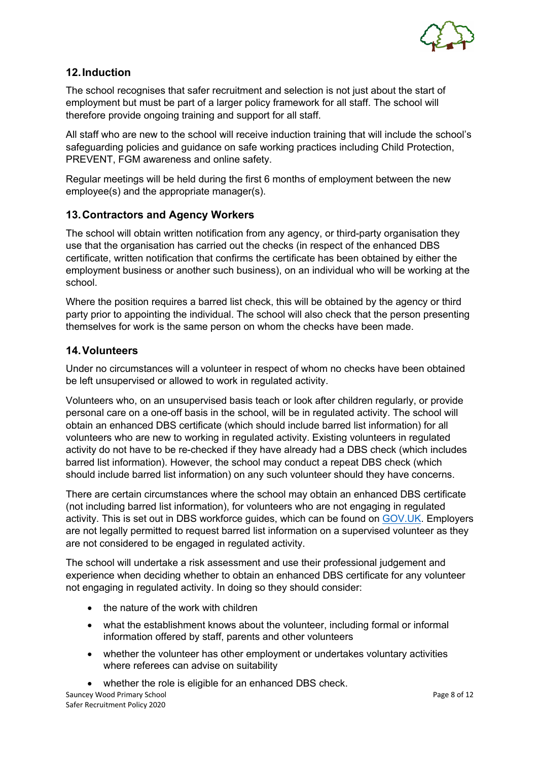

## **12.Induction**

The school recognises that safer recruitment and selection is not just about the start of employment but must be part of a larger policy framework for all staff. The school will therefore provide ongoing training and support for all staff.

All staff who are new to the school will receive induction training that will include the school's safeguarding policies and guidance on safe working practices including Child Protection, PREVENT, FGM awareness and online safety.

Regular meetings will be held during the first 6 months of employment between the new employee(s) and the appropriate manager(s).

## **13.Contractors and Agency Workers**

The school will obtain written notification from any agency, or third-party organisation they use that the organisation has carried out the checks (in respect of the enhanced DBS certificate, written notification that confirms the certificate has been obtained by either the employment business or another such business), on an individual who will be working at the school.

Where the position requires a barred list check, this will be obtained by the agency or third party prior to appointing the individual. The school will also check that the person presenting themselves for work is the same person on whom the checks have been made.

#### **14.Volunteers**

Under no circumstances will a volunteer in respect of whom no checks have been obtained be left unsupervised or allowed to work in regulated activity.

Volunteers who, on an unsupervised basis teach or look after children regularly, or provide personal care on a one-off basis in the school, will be in regulated activity. The school will obtain an enhanced DBS certificate (which should include barred list information) for all volunteers who are new to working in regulated activity. Existing volunteers in regulated activity do not have to be re-checked if they have already had a DBS check (which includes barred list information). However, the school may conduct a repeat DBS check (which should include barred list information) on any such volunteer should they have concerns.

There are certain circumstances where the school may obtain an enhanced DBS certificate (not including barred list information), for volunteers who are not engaging in regulated activity. This is set out in DBS workforce guides, which can be found on GOV.UK. Employers are not legally permitted to request barred list information on a supervised volunteer as they are not considered to be engaged in regulated activity.

The school will undertake a risk assessment and use their professional judgement and experience when deciding whether to obtain an enhanced DBS certificate for any volunteer not engaging in regulated activity. In doing so they should consider:

- the nature of the work with children
- what the establishment knows about the volunteer, including formal or informal information offered by staff, parents and other volunteers
- whether the volunteer has other employment or undertakes voluntary activities where referees can advise on suitability
- whether the role is eligible for an enhanced DBS check.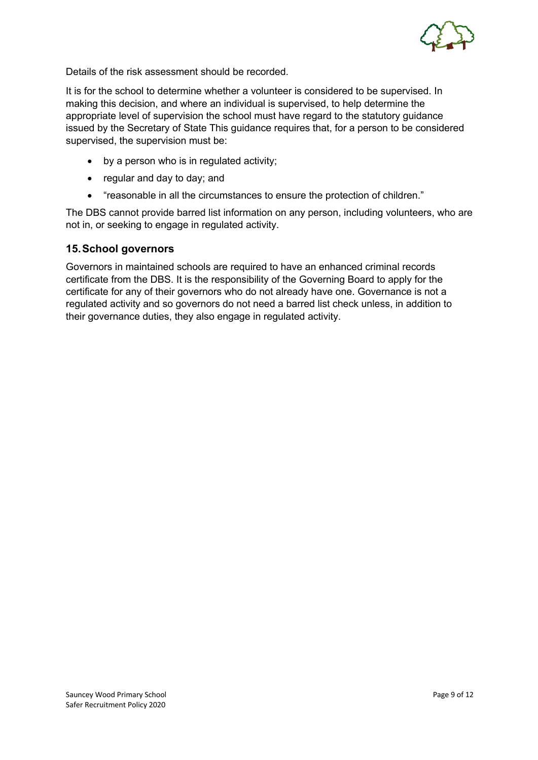

Details of the risk assessment should be recorded.

It is for the school to determine whether a volunteer is considered to be supervised. In making this decision, and where an individual is supervised, to help determine the appropriate level of supervision the school must have regard to the statutory guidance issued by the Secretary of State This guidance requires that, for a person to be considered supervised, the supervision must be:

- by a person who is in regulated activity;
- regular and day to day; and
- "reasonable in all the circumstances to ensure the protection of children."

The DBS cannot provide barred list information on any person, including volunteers, who are not in, or seeking to engage in regulated activity.

#### **15.School governors**

Governors in maintained schools are required to have an enhanced criminal records certificate from the DBS. It is the responsibility of the Governing Board to apply for the certificate for any of their governors who do not already have one. Governance is not a regulated activity and so governors do not need a barred list check unless, in addition to their governance duties, they also engage in regulated activity.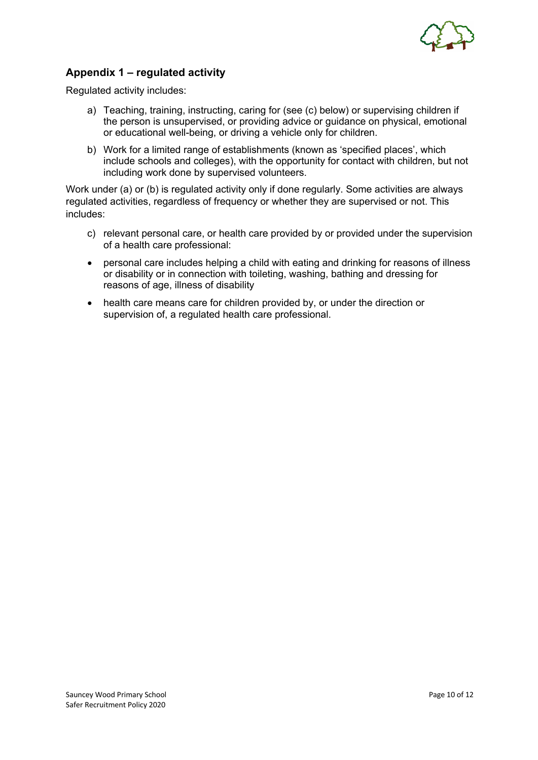

## **Appendix 1 – regulated activity**

Regulated activity includes:

- a) Teaching, training, instructing, caring for (see (c) below) or supervising children if the person is unsupervised, or providing advice or guidance on physical, emotional or educational well-being, or driving a vehicle only for children.
- b) Work for a limited range of establishments (known as 'specified places', which include schools and colleges), with the opportunity for contact with children, but not including work done by supervised volunteers.

Work under (a) or (b) is regulated activity only if done regularly. Some activities are always regulated activities, regardless of frequency or whether they are supervised or not. This includes:

- c) relevant personal care, or health care provided by or provided under the supervision of a health care professional:
- personal care includes helping a child with eating and drinking for reasons of illness or disability or in connection with toileting, washing, bathing and dressing for reasons of age, illness of disability
- health care means care for children provided by, or under the direction or supervision of, a regulated health care professional.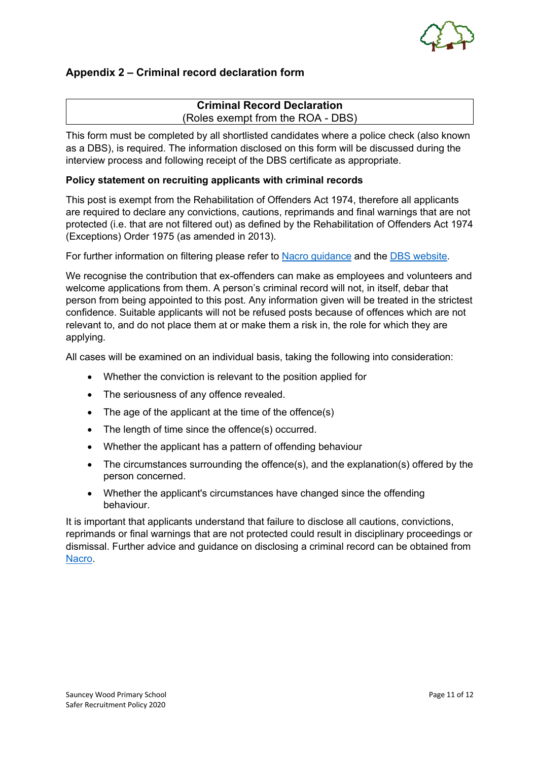

## **Appendix 2 – Criminal record declaration form**

#### **Criminal Record Declaration** (Roles exempt from the ROA - DBS)

This form must be completed by all shortlisted candidates where a police check (also known as a DBS), is required. The information disclosed on this form will be discussed during the interview process and following receipt of the DBS certificate as appropriate.

#### **Policy statement on recruiting applicants with criminal records**

This post is exempt from the Rehabilitation of Offenders Act 1974, therefore all applicants are required to declare any convictions, cautions, reprimands and final warnings that are not protected (i.e. that are not filtered out) as defined by the Rehabilitation of Offenders Act 1974 (Exceptions) Order 1975 (as amended in 2013).

For further information on filtering please refer to **Nacro guidance** and the **DBS** website.

We recognise the contribution that ex-offenders can make as employees and volunteers and welcome applications from them. A person's criminal record will not, in itself, debar that person from being appointed to this post. Any information given will be treated in the strictest confidence. Suitable applicants will not be refused posts because of offences which are not relevant to, and do not place them at or make them a risk in, the role for which they are applying.

All cases will be examined on an individual basis, taking the following into consideration:

- Whether the conviction is relevant to the position applied for
- The seriousness of any offence revealed.
- The age of the applicant at the time of the offence(s)
- The length of time since the offence(s) occurred.
- Whether the applicant has a pattern of offending behaviour
- The circumstances surrounding the offence(s), and the explanation(s) offered by the person concerned.
- Whether the applicant's circumstances have changed since the offending behaviour.

It is important that applicants understand that failure to disclose all cautions, convictions, reprimands or final warnings that are not protected could result in disciplinary proceedings or dismissal. Further advice and guidance on disclosing a criminal record can be obtained from Nacro.